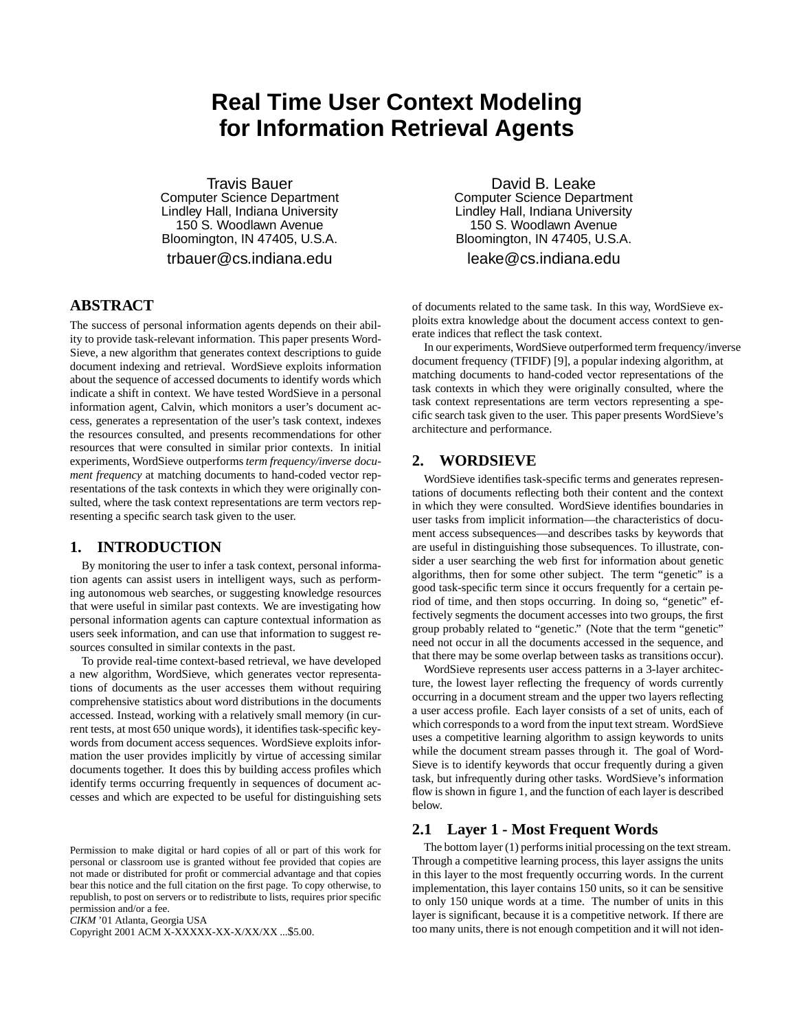# **Real Time User Context Modeling for Information Retrieval Agents**

Travis Bauer Computer Science Department Lindley Hall, Indiana University 150 S. Woodlawn Avenue Bloomington, IN 47405, U.S.A. trbauer@cs.indiana.edu

## **ABSTRACT**

The success of personal information agents depends on their ability to provide task-relevant information. This paper presents Word-Sieve, a new algorithm that generates context descriptions to guide document indexing and retrieval. WordSieve exploits information about the sequence of accessed documents to identify words which indicate a shift in context. We have tested WordSieve in a personal information agent, Calvin, which monitors a user's document access, generates a representation of the user's task context, indexes the resources consulted, and presents recommendations for other resources that were consulted in similar prior contexts. In initial experiments, WordSieve outperforms *term frequency/inverse document frequency* at matching documents to hand-coded vector representations of the task contexts in which they were originally consulted, where the task context representations are term vectors representing a specific search task given to the user.

### **1. INTRODUCTION**

By monitoring the user to infer a task context, personal information agents can assist users in intelligent ways, such as performing autonomous web searches, or suggesting knowledge resources that were useful in similar past contexts. We are investigating how personal information agents can capture contextual information as users seek information, and can use that information to suggest resources consulted in similar contexts in the past.

To provide real-time context-based retrieval, we have developed a new algorithm, WordSieve, which generates vector representations of documents as the user accesses them without requiring comprehensive statistics about word distributions in the documents accessed. Instead, working with a relatively small memory (in current tests, at most 650 unique words), it identifies task-specific keywords from document access sequences. WordSieve exploits information the user provides implicitly by virtue of accessing similar documents together. It does this by building access profiles which identify terms occurring frequently in sequences of document accesses and which are expected to be useful for distinguishing sets

*CIKM* '01 Atlanta, Georgia USA

Copyright 2001 ACM X-XXXXX-XX-X/XX/XX ...\$5.00.

David B. Leake Computer Science Department Lindley Hall, Indiana University 150 S. Woodlawn Avenue Bloomington, IN 47405, U.S.A. leake@cs.indiana.edu

of documents related to the same task. In this way, WordSieve exploits extra knowledge about the document access context to generate indices that reflect the task context.

In our experiments, WordSieve outperformed term frequency/inverse document frequency (TFIDF) [9], a popular indexing algorithm, at matching documents to hand-coded vector representations of the task contexts in which they were originally consulted, where the task context representations are term vectors representing a specific search task given to the user. This paper presents WordSieve's architecture and performance.

## **2. WORDSIEVE**

WordSieve identifies task-specific terms and generates representations of documents reflecting both their content and the context in which they were consulted. WordSieve identifies boundaries in user tasks from implicit information—the characteristics of document access subsequences—and describes tasks by keywords that are useful in distinguishing those subsequences. To illustrate, consider a user searching the web first for information about genetic algorithms, then for some other subject. The term "genetic" is a good task-specific term since it occurs frequently for a certain period of time, and then stops occurring. In doing so, "genetic" effectively segments the document accesses into two groups, the first group probably related to "genetic." (Note that the term "genetic" need not occur in all the documents accessed in the sequence, and that there may be some overlap between tasks as transitions occur).

WordSieve represents user access patterns in a 3-layer architecture, the lowest layer reflecting the frequency of words currently occurring in a document stream and the upper two layers reflecting a user access profile. Each layer consists of a set of units, each of which corresponds to a word from the input text stream. WordSieve uses a competitive learning algorithm to assign keywords to units while the document stream passes through it. The goal of Word-Sieve is to identify keywords that occur frequently during a given task, but infrequently during other tasks. WordSieve's information flow is shown in figure 1, and the function of each layer is described below.

## **2.1 Layer 1 - Most Frequent Words**

The bottom layer  $(1)$  performs initial processing on the text stream. Through a competitive learning process, this layer assigns the units in this layer to the most frequently occurring words. In the current implementation, this layer contains 150 units, so it can be sensitive to only 150 unique words at a time. The number of units in this layer is significant, because it is a competitive network. If there are too many units, there is not enough competition and it will not iden-

Permission to make digital or hard copies of all or part of this work for personal or classroom use is granted without fee provided that copies are not made or distributed for profit or commercial advantage and that copies bear this notice and the full citation on the first page. To copy otherwise, to republish, to post on servers or to redistribute to lists, requires prior specific permission and/or a fee.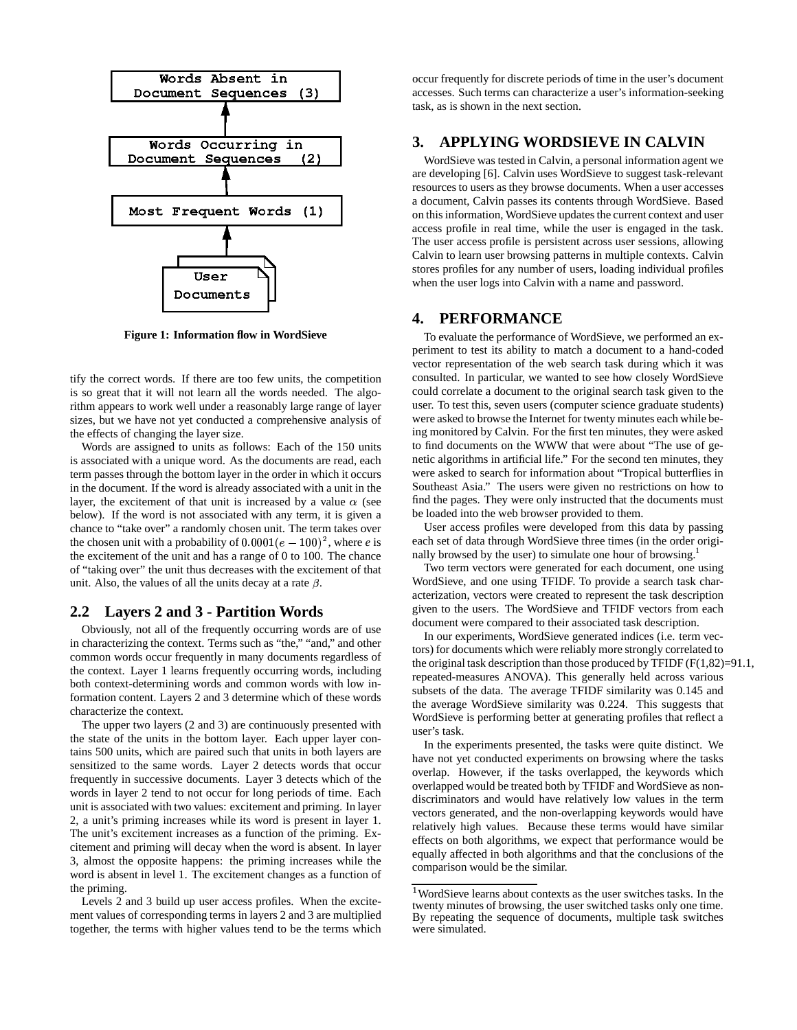

**Figure 1: Information flow in WordSieve**

tify the correct words. If there are too few units, the competition is so great that it will not learn all the words needed. The algorithm appears to work well under a reasonably large range of layer sizes, but we have not yet conducted a comprehensive analysis of the effects of changing the layer size.

Words are assigned to units as follows: Each of the 150 units is associated with a unique word. As the documents are read, each term passes through the bottom layer in the order in which it occurs in the document. If the word is already associated with a unit in the layer, the excitement of that unit is increased by a value  $\alpha$  (see fig. below). If the word is not associated with any term, it is given a chance to "take over" a randomly chosen unit. The term takes over the chosen unit with a probability of  $0.0001(e - 100)^2$ , where *e* is the excitement of the unit and has a range of 0 to 100. The chance of "taking over" the unit thus decreases with the excitement of that unit. Also, the values of all the units decay at a rate  $\beta$ .

#### **2.2 Layers 2 and 3 - Partition Words**

Obviously, not all of the frequently occurring words are of use in characterizing the context. Terms such as "the," "and," and other common words occur frequently in many documents regardless of the context. Layer 1 learns frequently occurring words, including both context-determining words and common words with low information content. Layers 2 and 3 determine which of these words characterize the context.

The upper two layers (2 and 3) are continuously presented with the state of the units in the bottom layer. Each upper layer contains 500 units, which are paired such that units in both layers are sensitized to the same words. Layer 2 detects words that occur frequently in successive documents. Layer 3 detects which of the words in layer 2 tend to not occur for long periods of time. Each unit is associated with two values: excitement and priming. In layer 2, a unit's priming increases while its word is present in layer 1. The unit's excitement increases as a function of the priming. Excitement and priming will decay when the word is absent. In layer 3, almost the opposite happens: the priming increases while the word is absent in level 1. The excitement changes as a function of the priming.

Levels 2 and 3 build up user access profiles. When the excitement values of corresponding terms in layers 2 and 3 are multiplied together, the terms with higher values tend to be the terms which occur frequently for discrete periods of time in the user's document accesses. Such terms can characterize a user's information-seeking task, as is shown in the next section.

# **3. APPLYING WORDSIEVE IN CALVIN**

WordSieve was tested in Calvin, a personal information agent we are developing [6]. Calvin uses WordSieve to suggest task-relevant resources to users as they browse documents. When a user accesses a document, Calvin passes its contents through WordSieve. Based on this information, WordSieve updates the current context and user access profile in real time, while the user is engaged in the task. The user access profile is persistent across user sessions, allowing Calvin to learn user browsing patterns in multiple contexts. Calvin stores profiles for any number of users, loading individual profiles when the user logs into Calvin with a name and password.

## **4. PERFORMANCE**

To evaluate the performance of WordSieve, we performed an experiment to test its ability to match a document to a hand-coded vector representation of the web search task during which it was consulted. In particular, we wanted to see how closely WordSieve could correlate a document to the original search task given to the user. To test this, seven users (computer science graduate students) were asked to browse the Internet for twenty minutes each while being monitored by Calvin. For the first ten minutes, they were asked to find documents on the WWW that were about "The use of genetic algorithms in artificial life." For the second ten minutes, they were asked to search for information about "Tropical butterflies in Southeast Asia." The users were given no restrictions on how to find the pages. They were only instructed that the documents must be loaded into the web browser provided to them.

User access profiles were developed from this data by passing each set of data through WordSieve three times (in the order originally browsed by the user) to simulate one hour of browsing.<sup>1</sup>

Two term vectors were generated for each document, one using WordSieve, and one using TFIDF. To provide a search task characterization, vectors were created to represent the task description given to the users. The WordSieve and TFIDF vectors from each document were compared to their associated task description.

In our experiments, WordSieve generated indices (i.e. term vectors) for documents which were reliably more strongly correlated to the original task description than those produced by TFIDF (F(1,82)=91.1, repeated-measures ANOVA). This generally held across various subsets of the data. The average TFIDF similarity was 0.145 and the average WordSieve similarity was 0.224. This suggests that WordSieve is performing better at generating profiles that reflect a user's task.

In the experiments presented, the tasks were quite distinct. We have not yet conducted experiments on browsing where the tasks overlap. However, if the tasks overlapped, the keywords which overlapped would be treated both by TFIDF and WordSieve as nondiscriminators and would have relatively low values in the term vectors generated, and the non-overlapping keywords would have relatively high values. Because these terms would have similar effects on both algorithms, we expect that performance would be equally affected in both algorithms and that the conclusions of the comparison would be the similar.

<sup>&</sup>lt;sup>1</sup>WordSieve learns about contexts as the user switches tasks. In the twenty minutes of browsing, the user switched tasks only one time. By repeating the sequence of documents, multiple task switches were simulated.